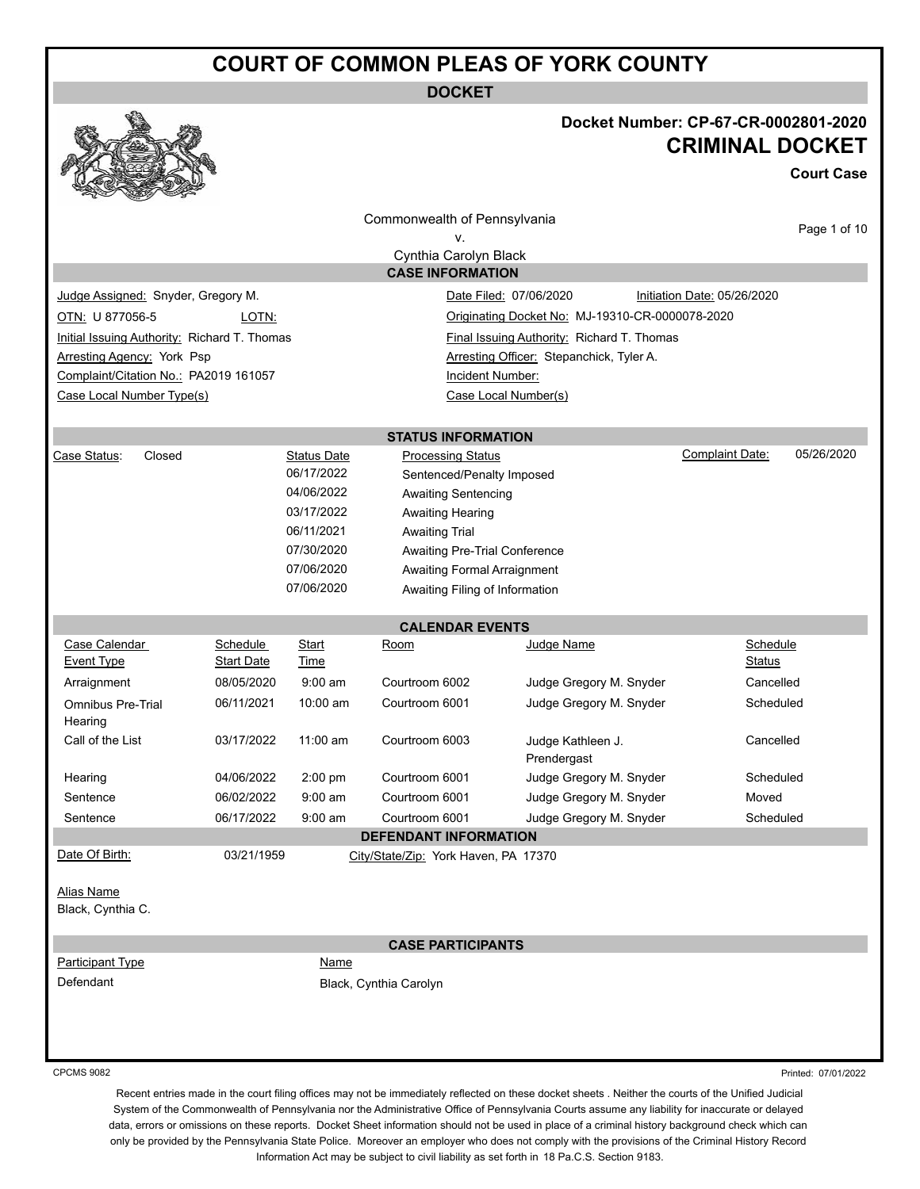**DOCKET**



### **Docket Number: CP-67-CR-0002801-2020 CRIMINAL DOCKET**

**Court Case**

|                                              |                   |                    | Commonwealth of Pennsylvania                     |                                                 | Page 1 of 10                         |
|----------------------------------------------|-------------------|--------------------|--------------------------------------------------|-------------------------------------------------|--------------------------------------|
|                                              |                   |                    | ٧.                                               |                                                 |                                      |
|                                              |                   |                    | Cynthia Carolyn Black<br><b>CASE INFORMATION</b> |                                                 |                                      |
|                                              |                   |                    |                                                  |                                                 |                                      |
| Judge Assigned: Snyder, Gregory M.           |                   |                    |                                                  | Date Filed: 07/06/2020                          | Initiation Date: 05/26/2020          |
| OTN: U 877056-5                              | LOTN:             |                    |                                                  | Originating Docket No: MJ-19310-CR-0000078-2020 |                                      |
| Initial Issuing Authority: Richard T. Thomas |                   |                    |                                                  | Final Issuing Authority: Richard T. Thomas      |                                      |
| <b>Arresting Agency: York Psp</b>            |                   |                    |                                                  | Arresting Officer: Stepanchick, Tyler A.        |                                      |
| Complaint/Citation No.: PA2019 161057        |                   |                    | Incident Number:                                 |                                                 |                                      |
| Case Local Number Type(s)                    |                   |                    |                                                  | Case Local Number(s)                            |                                      |
|                                              |                   |                    | <b>STATUS INFORMATION</b>                        |                                                 |                                      |
| Closed<br>Case Status:                       |                   | <b>Status Date</b> | <b>Processing Status</b>                         |                                                 | 05/26/2020<br><b>Complaint Date:</b> |
|                                              |                   | 06/17/2022         | Sentenced/Penalty Imposed                        |                                                 |                                      |
|                                              |                   | 04/06/2022         | <b>Awaiting Sentencing</b>                       |                                                 |                                      |
|                                              |                   | 03/17/2022         | <b>Awaiting Hearing</b>                          |                                                 |                                      |
|                                              |                   | 06/11/2021         | <b>Awaiting Trial</b>                            |                                                 |                                      |
|                                              |                   | 07/30/2020         | Awaiting Pre-Trial Conference                    |                                                 |                                      |
|                                              |                   | 07/06/2020         | Awaiting Formal Arraignment                      |                                                 |                                      |
|                                              |                   | 07/06/2020         | Awaiting Filing of Information                   |                                                 |                                      |
|                                              |                   |                    | <b>CALENDAR EVENTS</b>                           |                                                 |                                      |
| Case Calendar                                | <b>Schedule</b>   | <b>Start</b>       | Room                                             | Judge Name                                      | Schedule                             |
| <b>Event Type</b>                            | <b>Start Date</b> | Time               |                                                  |                                                 | Status                               |
| Arraignment                                  | 08/05/2020        | $9:00$ am          | Courtroom 6002                                   | Judge Gregory M. Snyder                         | Cancelled                            |
| <b>Omnibus Pre-Trial</b><br>Hearing          | 06/11/2021        | 10:00 am           | Courtroom 6001                                   | Judge Gregory M. Snyder                         | Scheduled                            |
| Call of the List                             | 03/17/2022        | $11:00$ am         | Courtroom 6003                                   | Judge Kathleen J.<br>Prendergast                | Cancelled                            |
| Hearing                                      | 04/06/2022        | 2:00 pm            | Courtroom 6001                                   | Judge Gregory M. Snyder                         | Scheduled                            |
| Sentence                                     | 06/02/2022        | $9:00 \text{ am}$  | Courtroom 6001                                   | Judge Gregory M. Snyder                         | Moved                                |
| Sentence                                     | 06/17/2022        | $9:00 \text{ am}$  | Courtroom 6001                                   | Judge Gregory M. Snyder                         | Scheduled                            |
|                                              |                   |                    | <b>DEFENDANT INFORMATION</b>                     |                                                 |                                      |
| Date Of Birth:                               | 03/21/1959        |                    | City/State/Zip: York Haven, PA 17370             |                                                 |                                      |
| Alias Name<br>Black, Cynthia C.              |                   |                    |                                                  |                                                 |                                      |
|                                              |                   |                    | <b>CASE PARTICIPANTS</b>                         |                                                 |                                      |
| <b>Participant Type</b>                      |                   | <b>Name</b>        |                                                  |                                                 |                                      |
| Defendant                                    |                   |                    | Black, Cynthia Carolyn                           |                                                 |                                      |
|                                              |                   |                    |                                                  |                                                 |                                      |
|                                              |                   |                    |                                                  |                                                 |                                      |
|                                              |                   |                    |                                                  |                                                 |                                      |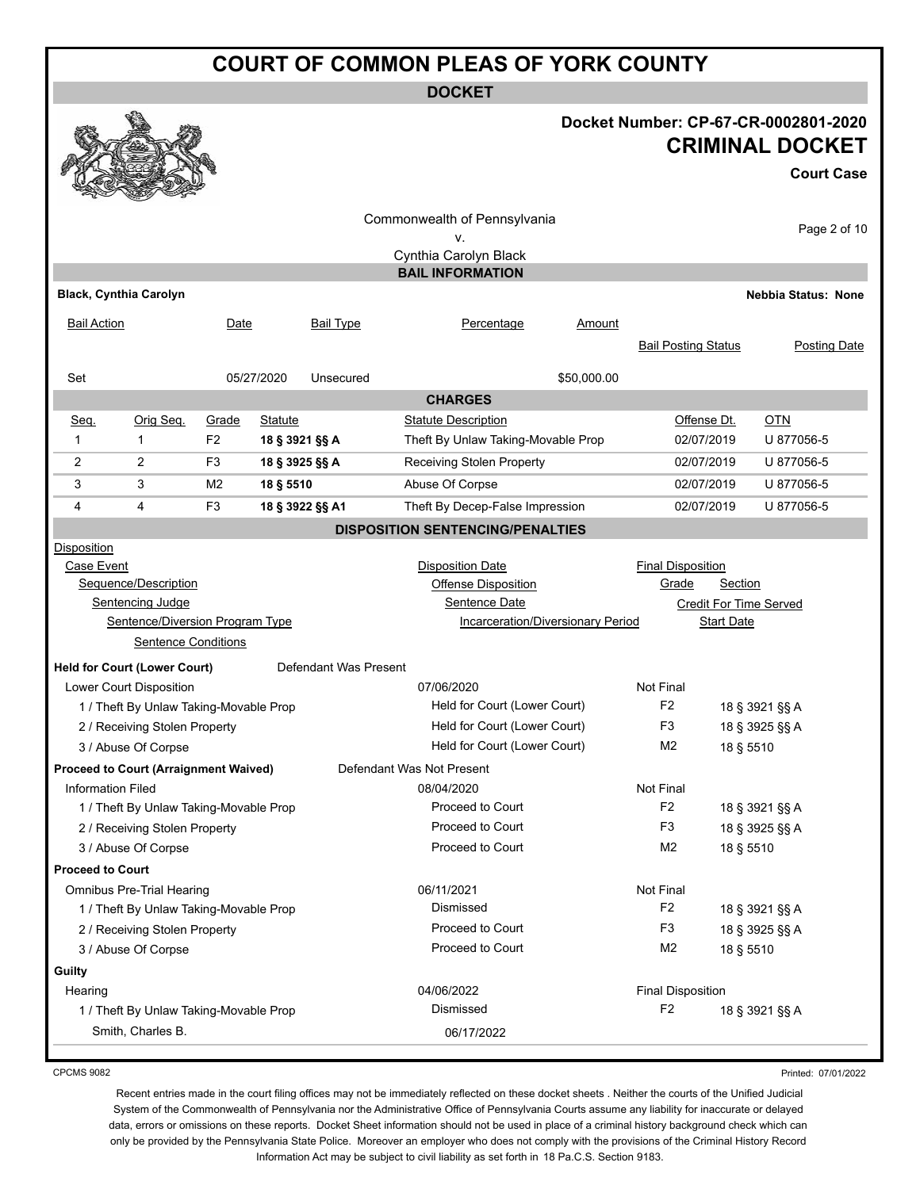**DOCKET**

#### **Docket Number: CP-67-CR-0002801-2020 CRIMINAL DOCKET**

**Court Case**

|                               |                                              |                |                     |                       | Commonwealth of Pennsylvania                                  |             |                                  |             |                            |                     |
|-------------------------------|----------------------------------------------|----------------|---------------------|-----------------------|---------------------------------------------------------------|-------------|----------------------------------|-------------|----------------------------|---------------------|
|                               |                                              |                |                     |                       | v.                                                            |             |                                  |             |                            | Page 2 of 10        |
|                               |                                              |                |                     |                       | Cynthia Carolyn Black                                         |             |                                  |             |                            |                     |
|                               |                                              |                |                     |                       | <b>BAIL INFORMATION</b>                                       |             |                                  |             |                            |                     |
| <b>Black, Cynthia Carolyn</b> |                                              |                |                     |                       |                                                               |             |                                  |             | <b>Nebbia Status: None</b> |                     |
| <b>Bail Action</b>            |                                              | Date           |                     | Bail Type             | Percentage                                                    | Amount      |                                  |             |                            |                     |
|                               |                                              |                |                     |                       |                                                               |             | <b>Bail Posting Status</b>       |             |                            | <b>Posting Date</b> |
| Set                           |                                              |                | 05/27/2020          | Unsecured             |                                                               | \$50,000.00 |                                  |             |                            |                     |
|                               |                                              |                |                     |                       | <b>CHARGES</b>                                                |             |                                  |             |                            |                     |
| Seq.                          | Orig Seq.                                    | Grade          | <b>Statute</b>      |                       | <b>Statute Description</b>                                    |             |                                  | Offense Dt. | $OTN$                      |                     |
| 1                             | 1                                            | F <sub>2</sub> | 18 § 3921 §§ A      |                       | Theft By Unlaw Taking-Movable Prop                            |             |                                  | 02/07/2019  | U 877056-5                 |                     |
| 2                             | 2                                            | F <sub>3</sub> | 18 § 3925 §§ A      |                       | Receiving Stolen Property                                     |             |                                  | 02/07/2019  | U 877056-5                 |                     |
| 3                             | 3                                            | M <sub>2</sub> | 18 § 5510           |                       | Abuse Of Corpse                                               |             |                                  | 02/07/2019  | U 877056-5                 |                     |
| 4                             | 4                                            | F <sub>3</sub> |                     | 18 § 3922 §§ A1       | Theft By Decep-False Impression                               |             |                                  | 02/07/2019  | U 877056-5                 |                     |
|                               |                                              |                |                     |                       | <b>DISPOSITION SENTENCING/PENALTIES</b>                       |             |                                  |             |                            |                     |
| Disposition                   |                                              |                |                     |                       |                                                               |             |                                  |             |                            |                     |
| Case Event                    |                                              |                |                     |                       | <b>Disposition Date</b>                                       |             | <b>Final Disposition</b>         |             |                            |                     |
| Sequence/Description          |                                              |                | Offense Disposition |                       | <b>Section</b><br>Grade                                       |             |                                  |             |                            |                     |
|                               | <b>Sentencing Judge</b>                      |                |                     |                       | Sentence Date<br><b>Credit For Time Served</b>                |             |                                  |             |                            |                     |
|                               | Sentence/Diversion Program Type              |                |                     |                       | <b>Incarceration/Diversionary Period</b><br><b>Start Date</b> |             |                                  |             |                            |                     |
|                               | <b>Sentence Conditions</b>                   |                |                     |                       |                                                               |             |                                  |             |                            |                     |
|                               | <b>Held for Court (Lower Court)</b>          |                |                     | Defendant Was Present |                                                               |             |                                  |             |                            |                     |
|                               | Lower Court Disposition                      |                |                     |                       | 07/06/2020                                                    |             | Not Final                        |             |                            |                     |
|                               | 1 / Theft By Unlaw Taking-Movable Prop       |                |                     |                       | Held for Court (Lower Court)                                  |             | F <sub>2</sub>                   |             | 18 § 3921 §§ A             |                     |
|                               | 2 / Receiving Stolen Property                |                |                     |                       | Held for Court (Lower Court)                                  |             | F3<br>18 § 3925 §§ A             |             |                            |                     |
|                               | 3 / Abuse Of Corpse                          |                |                     |                       | Held for Court (Lower Court)                                  |             | M <sub>2</sub>                   | 18 § 5510   |                            |                     |
|                               | <b>Proceed to Court (Arraignment Waived)</b> |                |                     |                       | Defendant Was Not Present                                     |             |                                  |             |                            |                     |
| <b>Information Filed</b>      |                                              |                |                     |                       | 08/04/2020                                                    |             | Not Final                        |             |                            |                     |
|                               | 1 / Theft By Unlaw Taking-Movable Prop       |                |                     |                       | Proceed to Court                                              |             | F <sub>2</sub>                   |             | 18 § 3921 §§ A             |                     |
|                               | 2 / Receiving Stolen Property                |                |                     |                       | Proceed to Court                                              |             | F <sub>3</sub>                   |             | 18 § 3925 §§ A             |                     |
|                               | 3 / Abuse Of Corpse                          |                |                     |                       | Proceed to Court                                              |             | M <sub>2</sub>                   | 18 § 5510   |                            |                     |
| <b>Proceed to Court</b>       |                                              |                |                     |                       |                                                               |             |                                  |             |                            |                     |
|                               | <b>Omnibus Pre-Trial Hearing</b>             |                |                     |                       | 06/11/2021                                                    |             | Not Final                        |             |                            |                     |
|                               | 1 / Theft By Unlaw Taking-Movable Prop       |                |                     |                       | Dismissed                                                     |             | F <sub>2</sub>                   |             | 18 § 3921 §§ A             |                     |
|                               | 2 / Receiving Stolen Property                |                |                     |                       | Proceed to Court                                              |             | F <sub>3</sub><br>18 § 3925 §§ A |             |                            |                     |
|                               | 3 / Abuse Of Corpse                          |                |                     |                       | Proceed to Court                                              |             | M <sub>2</sub>                   | 18 § 5510   |                            |                     |
| Guilty                        |                                              |                |                     |                       |                                                               |             |                                  |             |                            |                     |
| Hearing                       |                                              |                |                     |                       | 04/06/2022                                                    |             | <b>Final Disposition</b>         |             |                            |                     |
|                               | 1 / Theft By Unlaw Taking-Movable Prop       |                |                     |                       | Dismissed                                                     |             | F <sub>2</sub>                   |             | 18 § 3921 §§ A             |                     |
|                               | Smith, Charles B.                            |                |                     |                       | 06/17/2022                                                    |             |                                  |             |                            |                     |

CPCMS 9082

Printed: 07/01/2022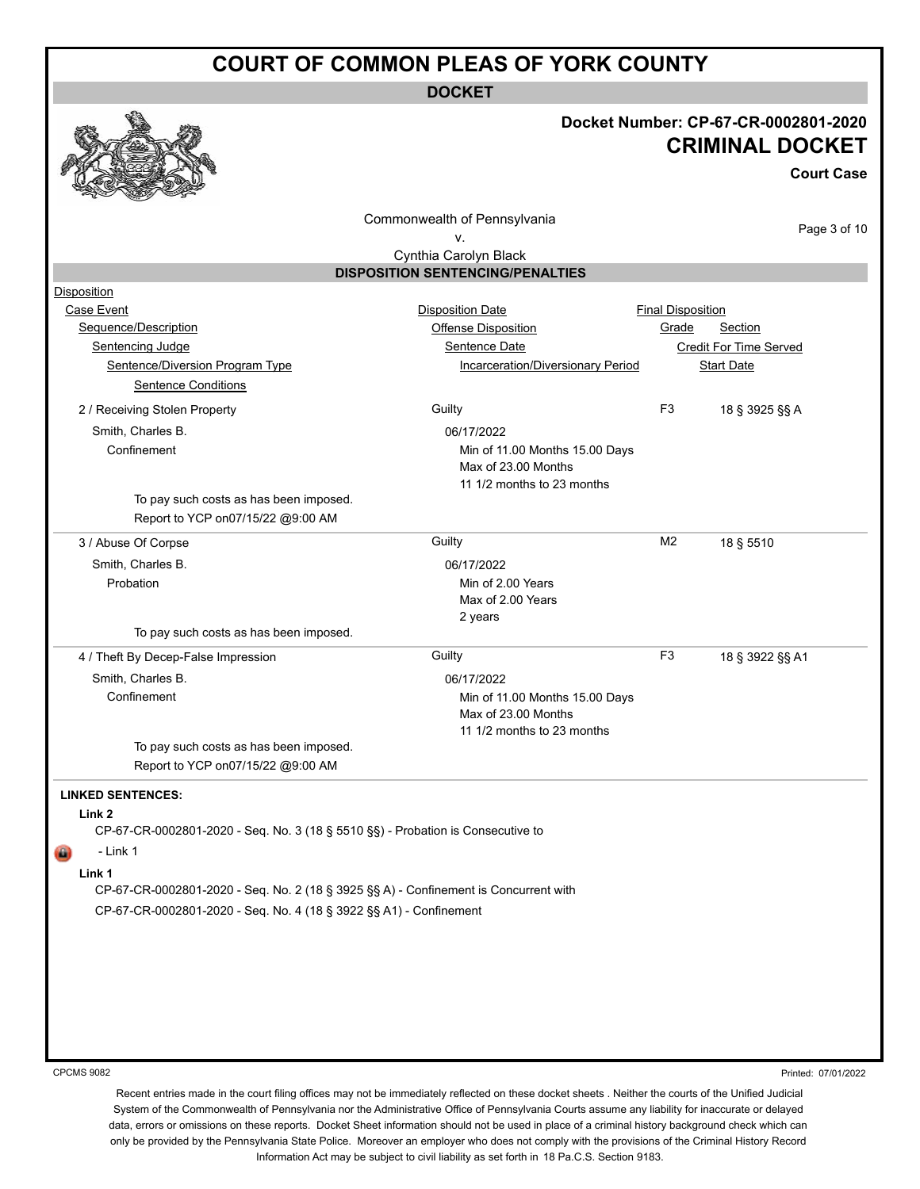**DOCKET**

#### **Docket Number: CP-67-CR-0002801-2020 CRIMINAL DOCKET**

**Court Case**

Commonwealth of Pennsylvania

Page 3 of 10

|                                                                                      | v.                                                                                  |                          |                        |
|--------------------------------------------------------------------------------------|-------------------------------------------------------------------------------------|--------------------------|------------------------|
|                                                                                      | Cynthia Carolyn Black                                                               |                          |                        |
|                                                                                      | <b>DISPOSITION SENTENCING/PENALTIES</b>                                             |                          |                        |
| <b>Disposition</b>                                                                   |                                                                                     |                          |                        |
| Case Event                                                                           | <b>Disposition Date</b>                                                             | <b>Final Disposition</b> |                        |
| Sequence/Description                                                                 | Offense Disposition                                                                 | Grade                    | Section                |
| <b>Sentencing Judge</b>                                                              | <b>Sentence Date</b>                                                                |                          | Credit For Time Served |
| Sentence/Diversion Program Type                                                      | Incarceration/Diversionary Period                                                   |                          | <b>Start Date</b>      |
| <b>Sentence Conditions</b>                                                           |                                                                                     |                          |                        |
| 2 / Receiving Stolen Property                                                        | Guilty                                                                              | F <sub>3</sub>           | 18 § 3925 §§ A         |
| Smith, Charles B.                                                                    | 06/17/2022                                                                          |                          |                        |
| Confinement                                                                          | Min of 11.00 Months 15.00 Days<br>Max of 23.00 Months<br>11 1/2 months to 23 months |                          |                        |
| To pay such costs as has been imposed.                                               |                                                                                     |                          |                        |
| Report to YCP on07/15/22 @9:00 AM                                                    |                                                                                     |                          |                        |
| 3 / Abuse Of Corpse                                                                  | Guilty                                                                              | M <sub>2</sub>           | 18 § 5510              |
| Smith, Charles B.                                                                    | 06/17/2022                                                                          |                          |                        |
| Probation                                                                            | Min of 2.00 Years                                                                   |                          |                        |
|                                                                                      | Max of 2.00 Years                                                                   |                          |                        |
| To pay such costs as has been imposed.                                               | 2 years                                                                             |                          |                        |
|                                                                                      |                                                                                     |                          |                        |
| 4 / Theft By Decep-False Impression                                                  | Guilty                                                                              | F <sub>3</sub>           | 18 § 3922 §§ A1        |
| Smith, Charles B.                                                                    | 06/17/2022                                                                          |                          |                        |
| Confinement                                                                          | Min of 11.00 Months 15.00 Days                                                      |                          |                        |
|                                                                                      | Max of 23.00 Months<br>11 1/2 months to 23 months                                   |                          |                        |
| To pay such costs as has been imposed.                                               |                                                                                     |                          |                        |
| Report to YCP on07/15/22 @9:00 AM                                                    |                                                                                     |                          |                        |
|                                                                                      |                                                                                     |                          |                        |
| <b>LINKED SENTENCES:</b>                                                             |                                                                                     |                          |                        |
| Link 2                                                                               |                                                                                     |                          |                        |
| CP-67-CR-0002801-2020 - Seq. No. 3 (18 § 5510 §§) - Probation is Consecutive to      |                                                                                     |                          |                        |
| - Link 1                                                                             |                                                                                     |                          |                        |
| Link 1                                                                               |                                                                                     |                          |                        |
| CP-67-CR-0002801-2020 - Seq. No. 2 (18 § 3925 §§ A) - Confinement is Concurrent with |                                                                                     |                          |                        |
| CP-67-CR-0002801-2020 - Seq. No. 4 (18 § 3922 §§ A1) - Confinement                   |                                                                                     |                          |                        |
|                                                                                      |                                                                                     |                          |                        |
|                                                                                      |                                                                                     |                          |                        |
|                                                                                      |                                                                                     |                          |                        |

CPCMS 9082

Printed: 07/01/2022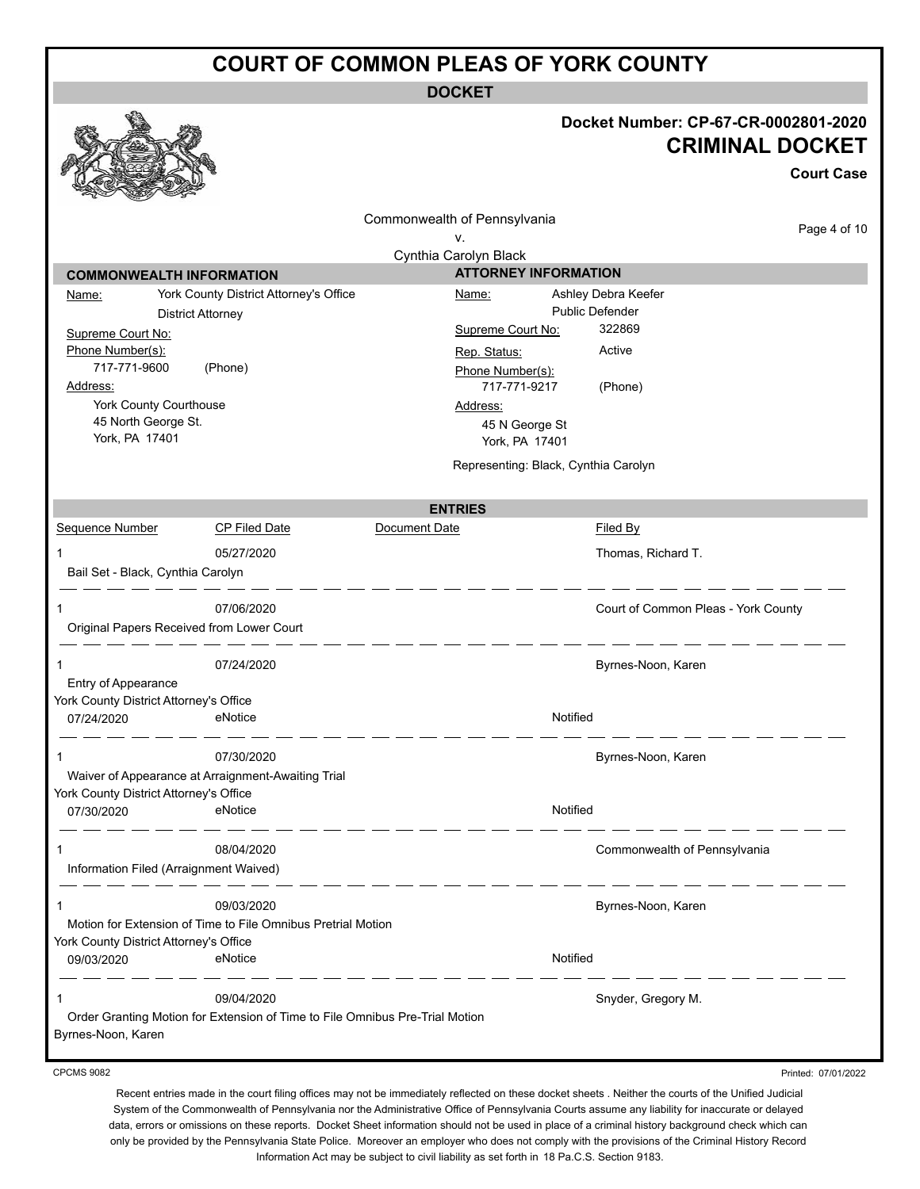**DOCKET**

|                                                      |                                                                              | DUUNE I                                              |                                                                                     |
|------------------------------------------------------|------------------------------------------------------------------------------|------------------------------------------------------|-------------------------------------------------------------------------------------|
|                                                      |                                                                              |                                                      | Docket Number: CP-67-CR-0002801-2020<br><b>CRIMINAL DOCKET</b><br><b>Court Case</b> |
|                                                      |                                                                              |                                                      |                                                                                     |
|                                                      |                                                                              | Commonwealth of Pennsylvania                         |                                                                                     |
|                                                      |                                                                              | ۷.                                                   | Page 4 of 10                                                                        |
|                                                      |                                                                              | Cynthia Carolyn Black<br><b>ATTORNEY INFORMATION</b> |                                                                                     |
| <b>COMMONWEALTH INFORMATION</b>                      | York County District Attorney's Office                                       | Ashley Debra Keefer<br>Name:                         |                                                                                     |
| Name:                                                | <b>District Attorney</b>                                                     | <b>Public Defender</b>                               |                                                                                     |
| Supreme Court No:                                    |                                                                              | 322869<br>Supreme Court No:                          |                                                                                     |
| Phone Number(s):                                     |                                                                              | Active<br>Rep. Status:                               |                                                                                     |
| 717-771-9600                                         | (Phone)                                                                      | Phone Number(s):                                     |                                                                                     |
| Address:                                             |                                                                              | 717-771-9217<br>(Phone)                              |                                                                                     |
| York County Courthouse                               |                                                                              | Address:                                             |                                                                                     |
| 45 North George St.<br>York, PA 17401                |                                                                              | 45 N George St<br>York, PA 17401                     |                                                                                     |
|                                                      |                                                                              | Representing: Black, Cynthia Carolyn                 |                                                                                     |
|                                                      |                                                                              | <b>ENTRIES</b>                                       |                                                                                     |
| Sequence Number                                      | <b>CP Filed Date</b>                                                         | Document Date<br><b>Filed By</b>                     |                                                                                     |
| 1                                                    | 05/27/2020                                                                   | Thomas, Richard T.                                   |                                                                                     |
| Bail Set - Black, Cynthia Carolyn                    |                                                                              |                                                      |                                                                                     |
|                                                      | 07/06/2020                                                                   |                                                      | Court of Common Pleas - York County                                                 |
| Original Papers Received from Lower Court            |                                                                              |                                                      |                                                                                     |
|                                                      | 07/24/2020                                                                   | Byrnes-Noon, Karen                                   |                                                                                     |
| Entry of Appearance                                  |                                                                              |                                                      |                                                                                     |
| York County District Attorney's Office               |                                                                              |                                                      |                                                                                     |
| 07/24/2020                                           | eNotice                                                                      | Notified                                             |                                                                                     |
| 1                                                    | 07/30/2020                                                                   | Byrnes-Noon, Karen                                   |                                                                                     |
|                                                      | Waiver of Appearance at Arraignment-Awaiting Trial                           |                                                      |                                                                                     |
| York County District Attorney's Office<br>07/30/2020 | eNotice                                                                      | Notified                                             |                                                                                     |
| 1                                                    | 08/04/2020                                                                   |                                                      | Commonwealth of Pennsylvania                                                        |
| Information Filed (Arraignment Waived)               |                                                                              |                                                      |                                                                                     |
| 1                                                    | 09/03/2020                                                                   | Byrnes-Noon, Karen                                   |                                                                                     |
|                                                      | Motion for Extension of Time to File Omnibus Pretrial Motion                 |                                                      |                                                                                     |
| York County District Attorney's Office               |                                                                              |                                                      |                                                                                     |
| 09/03/2020                                           | eNotice                                                                      | Notified                                             |                                                                                     |
|                                                      | 09/04/2020                                                                   | Snyder, Gregory M.                                   |                                                                                     |
| Byrnes-Noon, Karen                                   | Order Granting Motion for Extension of Time to File Omnibus Pre-Trial Motion |                                                      |                                                                                     |
| <b>CPCMS 9082</b>                                    |                                                                              |                                                      | Printed: 07/01/2022                                                                 |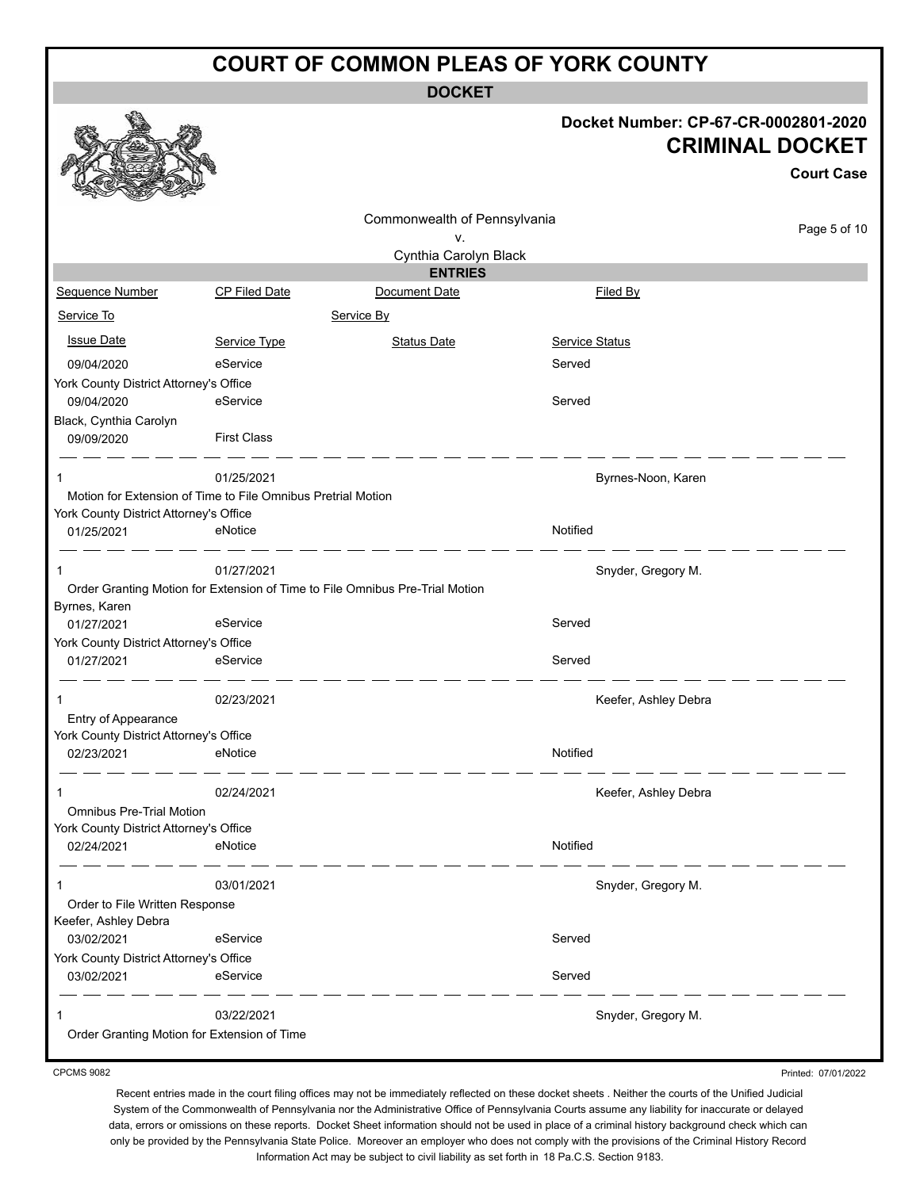**DOCKET**

#### **Docket Number: CP-67-CR-0002801-2020 CRIMINAL DOCKET**

|                                                      |                                                              |                                                                              |                       | <b>Court Case</b> |
|------------------------------------------------------|--------------------------------------------------------------|------------------------------------------------------------------------------|-----------------------|-------------------|
|                                                      |                                                              | Commonwealth of Pennsylvania<br>٧.                                           |                       | Page 5 of 10      |
|                                                      |                                                              | Cynthia Carolyn Black                                                        |                       |                   |
|                                                      |                                                              | <b>ENTRIES</b>                                                               |                       |                   |
| Sequence Number                                      | <b>CP Filed Date</b>                                         | Document Date                                                                | Filed By              |                   |
| Service To                                           |                                                              | Service By                                                                   |                       |                   |
| <b>Issue Date</b>                                    | Service Type                                                 | <b>Status Date</b>                                                           | <b>Service Status</b> |                   |
| 09/04/2020                                           | eService                                                     |                                                                              | Served                |                   |
| York County District Attorney's Office               |                                                              |                                                                              |                       |                   |
| 09/04/2020                                           | eService                                                     |                                                                              | Served                |                   |
| Black, Cynthia Carolyn                               |                                                              |                                                                              |                       |                   |
| 09/09/2020                                           | <b>First Class</b>                                           |                                                                              |                       |                   |
| 1                                                    | 01/25/2021                                                   |                                                                              | Byrnes-Noon, Karen    |                   |
|                                                      | Motion for Extension of Time to File Omnibus Pretrial Motion |                                                                              |                       |                   |
| York County District Attorney's Office               |                                                              |                                                                              |                       |                   |
| 01/25/2021                                           | eNotice                                                      |                                                                              | Notified              |                   |
|                                                      | 01/27/2021                                                   |                                                                              | Snyder, Gregory M.    |                   |
|                                                      |                                                              | Order Granting Motion for Extension of Time to File Omnibus Pre-Trial Motion |                       |                   |
| Byrnes, Karen<br>01/27/2021                          | eService                                                     |                                                                              | Served                |                   |
| York County District Attorney's Office               |                                                              |                                                                              |                       |                   |
| 01/27/2021                                           | eService                                                     |                                                                              | Served                |                   |
| 1                                                    | 02/23/2021                                                   |                                                                              | Keefer, Ashley Debra  |                   |
| Entry of Appearance                                  |                                                              |                                                                              |                       |                   |
| York County District Attorney's Office               |                                                              |                                                                              |                       |                   |
| 02/23/2021                                           | eNotice                                                      |                                                                              | Notified              |                   |
| 1                                                    | 02/24/2021                                                   |                                                                              | Keefer, Ashley Debra  |                   |
| <b>Omnibus Pre-Trial Motion</b>                      |                                                              |                                                                              |                       |                   |
| York County District Attorney's Office               |                                                              |                                                                              |                       |                   |
| 02/24/2021                                           | eNotice                                                      |                                                                              | Notified              |                   |
|                                                      | 03/01/2021                                                   |                                                                              | Snyder, Gregory M.    |                   |
| Order to File Written Response                       |                                                              |                                                                              |                       |                   |
| Keefer, Ashley Debra                                 |                                                              |                                                                              |                       |                   |
| 03/02/2021                                           | eService                                                     |                                                                              | Served                |                   |
| York County District Attorney's Office<br>03/02/2021 | eService                                                     |                                                                              | Served                |                   |
|                                                      |                                                              |                                                                              |                       |                   |
|                                                      | 03/22/2021                                                   |                                                                              | Snyder, Gregory M.    |                   |
|                                                      | Order Granting Motion for Extension of Time                  |                                                                              |                       |                   |

CPCMS 9082

Printed: 07/01/2022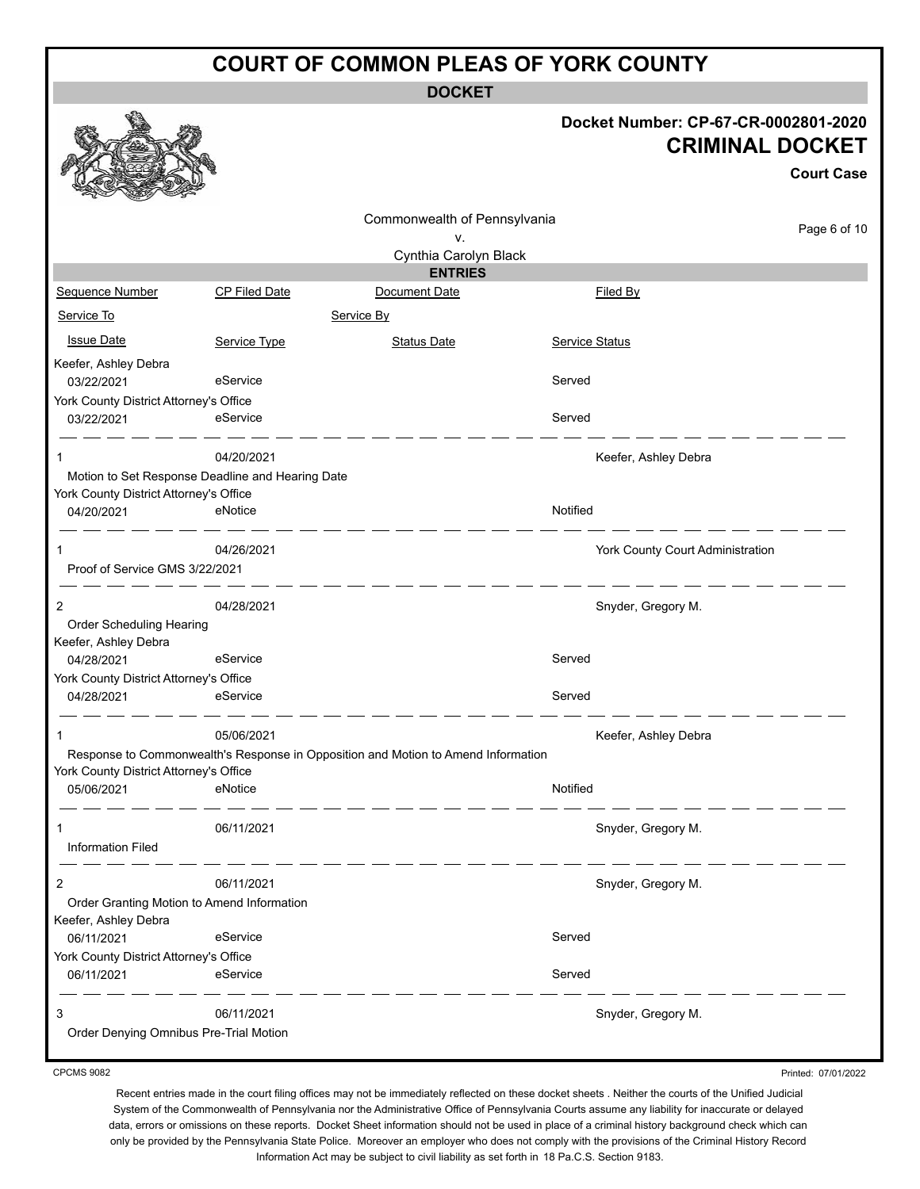**DOCKET**

|                                                      |                                                                |                                                                                   |                       | Docket Number: CP-67-CR-0002801-2020<br><b>CRIMINAL DOCKET</b><br><b>Court Case</b> |
|------------------------------------------------------|----------------------------------------------------------------|-----------------------------------------------------------------------------------|-----------------------|-------------------------------------------------------------------------------------|
|                                                      |                                                                | Commonwealth of Pennsylvania                                                      |                       | Page 6 of 10                                                                        |
|                                                      |                                                                | ν.<br>Cynthia Carolyn Black                                                       |                       |                                                                                     |
|                                                      |                                                                | <b>ENTRIES</b>                                                                    |                       |                                                                                     |
| Sequence Number                                      | <b>CP Filed Date</b>                                           | Document Date                                                                     |                       | <b>Filed By</b>                                                                     |
| Service To                                           |                                                                | Service By                                                                        |                       |                                                                                     |
| <b>Issue Date</b>                                    | Service Type                                                   | <b>Status Date</b>                                                                | <b>Service Status</b> |                                                                                     |
| Keefer, Ashley Debra                                 |                                                                |                                                                                   |                       |                                                                                     |
| 03/22/2021                                           | eService                                                       |                                                                                   | Served                |                                                                                     |
| York County District Attorney's Office<br>03/22/2021 | eService                                                       |                                                                                   | Served                |                                                                                     |
| 1                                                    | 04/20/2021<br>Motion to Set Response Deadline and Hearing Date |                                                                                   |                       | Keefer, Ashley Debra                                                                |
| York County District Attorney's Office               |                                                                |                                                                                   |                       |                                                                                     |
| 04/20/2021                                           | eNotice                                                        |                                                                                   | Notified              |                                                                                     |
| 1<br>Proof of Service GMS 3/22/2021                  | 04/26/2021                                                     |                                                                                   |                       | York County Court Administration                                                    |
| 2<br>Order Scheduling Hearing                        | 04/28/2021                                                     |                                                                                   |                       | Snyder, Gregory M.                                                                  |
| Keefer, Ashley Debra                                 |                                                                |                                                                                   |                       |                                                                                     |
| 04/28/2021                                           | eService                                                       |                                                                                   | Served                |                                                                                     |
| York County District Attorney's Office<br>04/28/2021 | eService                                                       |                                                                                   | Served                |                                                                                     |
|                                                      | 05/06/2021                                                     | Response to Commonwealth's Response in Opposition and Motion to Amend Information |                       | Keefer, Ashley Debra                                                                |
| York County District Attorney's Office               |                                                                |                                                                                   |                       |                                                                                     |
| 05/06/2021                                           | eNotice                                                        |                                                                                   | Notified              |                                                                                     |
| 1                                                    | 06/11/2021                                                     |                                                                                   |                       | Snyder, Gregory M.                                                                  |
| <b>Information Filed</b>                             |                                                                |                                                                                   |                       |                                                                                     |
| 2                                                    | 06/11/2021                                                     |                                                                                   |                       | Snyder, Gregory M.                                                                  |
| Keefer, Ashley Debra                                 | Order Granting Motion to Amend Information                     |                                                                                   |                       |                                                                                     |
| 06/11/2021                                           | eService                                                       |                                                                                   | Served                |                                                                                     |
| York County District Attorney's Office               |                                                                |                                                                                   |                       |                                                                                     |
| 06/11/2021                                           | eService                                                       |                                                                                   | Served                |                                                                                     |
| 3                                                    | 06/11/2021                                                     |                                                                                   |                       | Snyder, Gregory M.                                                                  |
| Order Denying Omnibus Pre-Trial Motion               |                                                                |                                                                                   |                       |                                                                                     |

CPCMS 9082

Printed: 07/01/2022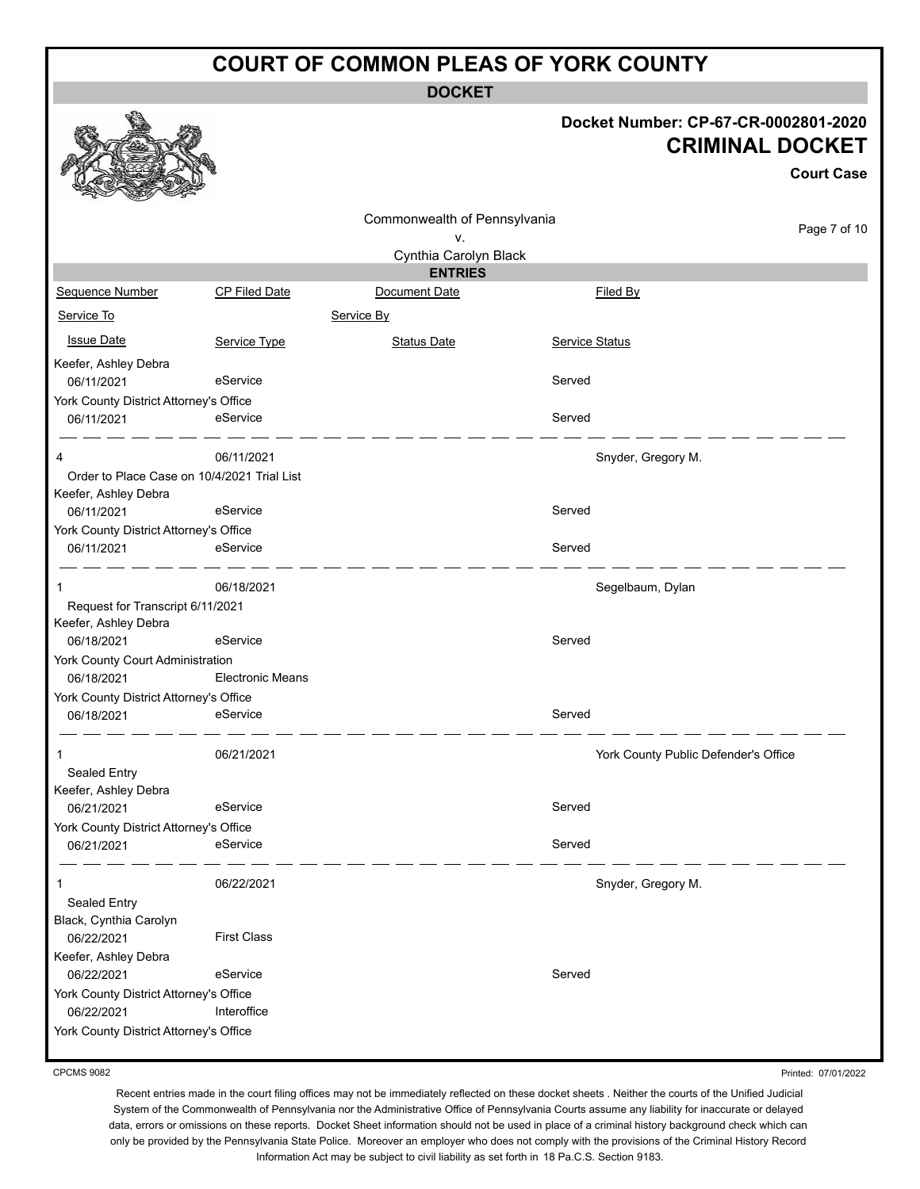**DOCKET**

|                                                |                         |                              |                       | Docket Number: CP-67-CR-0002801-2020<br><b>CRIMINAL DOCKET</b><br><b>Court Case</b> |
|------------------------------------------------|-------------------------|------------------------------|-----------------------|-------------------------------------------------------------------------------------|
|                                                |                         | Commonwealth of Pennsylvania |                       | Page 7 of 10                                                                        |
|                                                |                         | ν.<br>Cynthia Carolyn Black  |                       |                                                                                     |
|                                                |                         | <b>ENTRIES</b>               |                       |                                                                                     |
| <b>Sequence Number</b>                         | <b>CP Filed Date</b>    | Document Date                |                       | Filed By                                                                            |
| Service To                                     |                         | Service By                   |                       |                                                                                     |
| <b>Issue Date</b>                              | Service Type            | <b>Status Date</b>           | <b>Service Status</b> |                                                                                     |
| Keefer, Ashley Debra                           |                         |                              |                       |                                                                                     |
| 06/11/2021                                     | eService                |                              | Served                |                                                                                     |
| York County District Attorney's Office         |                         |                              |                       |                                                                                     |
| 06/11/2021                                     | eService                |                              | Served                |                                                                                     |
| 4                                              | 06/11/2021              |                              |                       | Snyder, Gregory M.                                                                  |
| Order to Place Case on 10/4/2021 Trial List    |                         |                              |                       |                                                                                     |
| Keefer, Ashley Debra                           |                         |                              |                       |                                                                                     |
| 06/11/2021                                     | eService                |                              | Served                |                                                                                     |
| York County District Attorney's Office         |                         |                              |                       |                                                                                     |
| 06/11/2021                                     | eService                |                              | Served                |                                                                                     |
| 1                                              | 06/18/2021              |                              |                       | Segelbaum, Dylan                                                                    |
| Request for Transcript 6/11/2021               |                         |                              |                       |                                                                                     |
| Keefer, Ashley Debra                           |                         |                              |                       |                                                                                     |
| 06/18/2021                                     | eService                |                              | Served                |                                                                                     |
| York County Court Administration<br>06/18/2021 | <b>Electronic Means</b> |                              |                       |                                                                                     |
| York County District Attorney's Office         |                         |                              |                       |                                                                                     |
| 06/18/2021                                     | eService                |                              | Served                |                                                                                     |
|                                                | 06/21/2021              |                              |                       | York County Public Defender's Office                                                |
| Sealed Entry                                   |                         |                              |                       |                                                                                     |
| Keefer, Ashley Debra                           |                         |                              |                       |                                                                                     |
| 06/21/2021                                     | eService                |                              | Served                |                                                                                     |
| York County District Attorney's Office         |                         |                              |                       |                                                                                     |
| 06/21/2021                                     | eService                |                              | Served                |                                                                                     |
| 1                                              | 06/22/2021              |                              |                       | Snyder, Gregory M.                                                                  |
| Sealed Entry                                   |                         |                              |                       |                                                                                     |
| Black, Cynthia Carolyn<br>06/22/2021           | <b>First Class</b>      |                              |                       |                                                                                     |
| Keefer, Ashley Debra                           |                         |                              |                       |                                                                                     |
| 06/22/2021                                     | eService                |                              | Served                |                                                                                     |
| York County District Attorney's Office         |                         |                              |                       |                                                                                     |
| 06/22/2021                                     | Interoffice             |                              |                       |                                                                                     |
| York County District Attorney's Office         |                         |                              |                       |                                                                                     |
|                                                |                         |                              |                       |                                                                                     |

CPCMS 9082

Recent entries made in the court filing offices may not be immediately reflected on these docket sheets . Neither the courts of the Unified Judicial System of the Commonwealth of Pennsylvania nor the Administrative Office of Pennsylvania Courts assume any liability for inaccurate or delayed data, errors or omissions on these reports. Docket Sheet information should not be used in place of a criminal history background check which can only be provided by the Pennsylvania State Police. Moreover an employer who does not comply with the provisions of the Criminal History Record Information Act may be subject to civil liability as set forth in 18 Pa.C.S. Section 9183.

Printed: 07/01/2022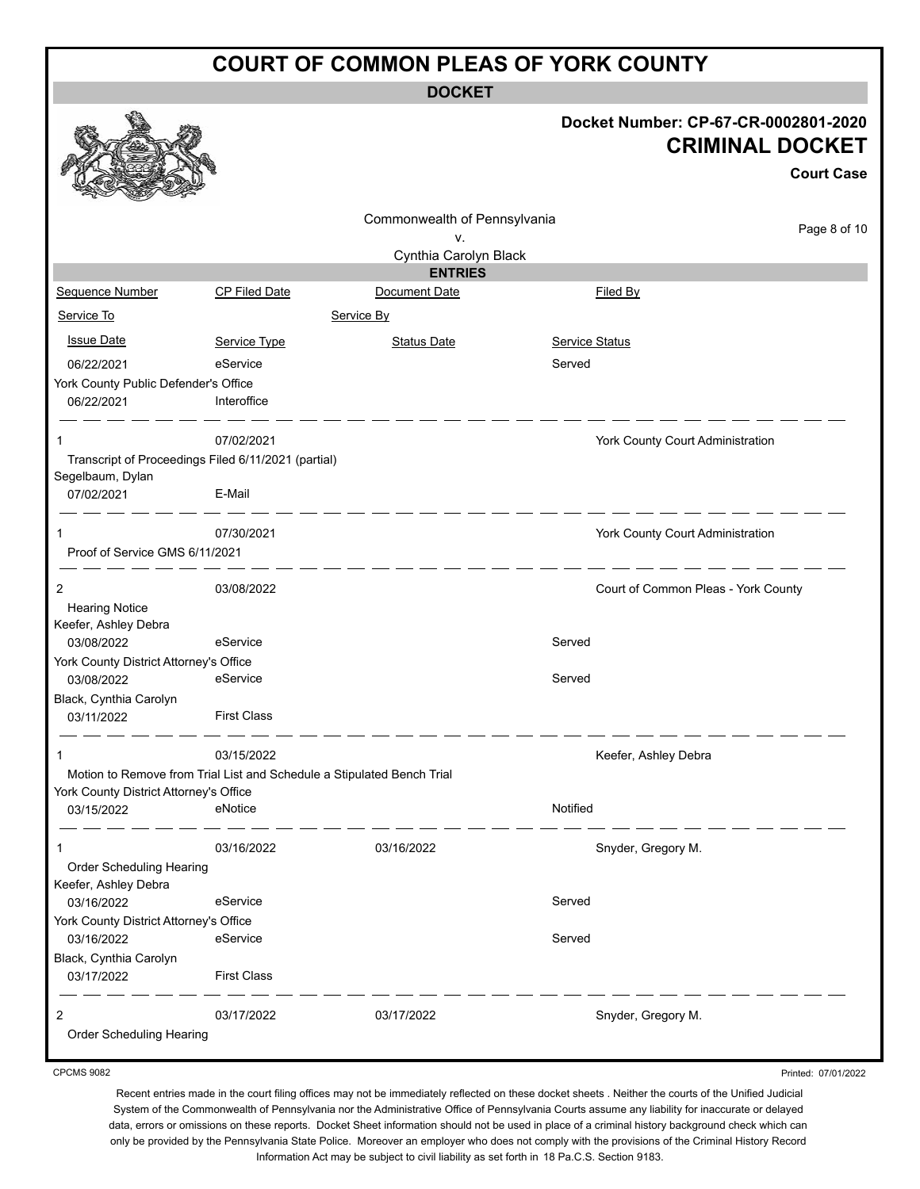**DOCKET**

|                                                                        |                      | DUUNE I                         |                       |                                                                                     |
|------------------------------------------------------------------------|----------------------|---------------------------------|-----------------------|-------------------------------------------------------------------------------------|
|                                                                        |                      |                                 |                       | Docket Number: CP-67-CR-0002801-2020<br><b>CRIMINAL DOCKET</b><br><b>Court Case</b> |
|                                                                        |                      | Commonwealth of Pennsylvania    |                       |                                                                                     |
|                                                                        |                      | ٧.                              |                       | Page 8 of 10                                                                        |
|                                                                        |                      | Cynthia Carolyn Black           |                       |                                                                                     |
| Sequence Number                                                        | <b>CP Filed Date</b> | <b>ENTRIES</b><br>Document Date |                       | Filed By                                                                            |
| Service To                                                             |                      |                                 |                       |                                                                                     |
|                                                                        |                      | Service By                      |                       |                                                                                     |
| <b>Issue Date</b>                                                      | Service Type         | <b>Status Date</b>              | <b>Service Status</b> |                                                                                     |
| 06/22/2021                                                             | eService             |                                 | Served                |                                                                                     |
| York County Public Defender's Office                                   | Interoffice          |                                 |                       |                                                                                     |
| 06/22/2021                                                             |                      |                                 |                       |                                                                                     |
| 1                                                                      | 07/02/2021           |                                 |                       | York County Court Administration                                                    |
| Transcript of Proceedings Filed 6/11/2021 (partial)                    |                      |                                 |                       |                                                                                     |
| Segelbaum, Dylan<br>07/02/2021                                         | E-Mail               |                                 |                       |                                                                                     |
| 1                                                                      | 07/30/2021           |                                 |                       | York County Court Administration                                                    |
| Proof of Service GMS 6/11/2021                                         |                      |                                 |                       |                                                                                     |
|                                                                        |                      |                                 |                       |                                                                                     |
| 2<br><b>Hearing Notice</b>                                             | 03/08/2022           |                                 |                       | Court of Common Pleas - York County                                                 |
| Keefer, Ashley Debra                                                   |                      |                                 |                       |                                                                                     |
| 03/08/2022                                                             | eService             |                                 | Served                |                                                                                     |
| York County District Attorney's Office                                 |                      |                                 |                       |                                                                                     |
| 03/08/2022                                                             | eService             |                                 | Served                |                                                                                     |
| Black, Cynthia Carolyn<br>03/11/2022                                   | <b>First Class</b>   |                                 |                       |                                                                                     |
|                                                                        | 03/15/2022           |                                 |                       | Keefer, Ashley Debra                                                                |
| Motion to Remove from Trial List and Schedule a Stipulated Bench Trial |                      |                                 |                       |                                                                                     |
| York County District Attorney's Office                                 | eNotice              |                                 | Notified              |                                                                                     |
| 03/15/2022                                                             |                      |                                 |                       |                                                                                     |
| 1                                                                      | 03/16/2022           | 03/16/2022                      |                       | Snyder, Gregory M.                                                                  |
| <b>Order Scheduling Hearing</b>                                        |                      |                                 |                       |                                                                                     |
| Keefer, Ashley Debra                                                   |                      |                                 |                       |                                                                                     |
| 03/16/2022                                                             | eService             |                                 | Served                |                                                                                     |
| York County District Attorney's Office                                 |                      |                                 |                       |                                                                                     |
| 03/16/2022<br>Black, Cynthia Carolyn                                   | eService             |                                 | Served                |                                                                                     |
| 03/17/2022                                                             | <b>First Class</b>   |                                 |                       |                                                                                     |
|                                                                        |                      |                                 |                       |                                                                                     |
| 2                                                                      | 03/17/2022           | 03/17/2022                      |                       | Snyder, Gregory M.                                                                  |
| Order Scheduling Hearing                                               |                      |                                 |                       |                                                                                     |
|                                                                        |                      |                                 |                       |                                                                                     |

CPCMS 9082

Recent entries made in the court filing offices may not be immediately reflected on these docket sheets . Neither the courts of the Unified Judicial System of the Commonwealth of Pennsylvania nor the Administrative Office of Pennsylvania Courts assume any liability for inaccurate or delayed data, errors or omissions on these reports. Docket Sheet information should not be used in place of a criminal history background check which can only be provided by the Pennsylvania State Police. Moreover an employer who does not comply with the provisions of the Criminal History Record Information Act may be subject to civil liability as set forth in 18 Pa.C.S. Section 9183.

Printed: 07/01/2022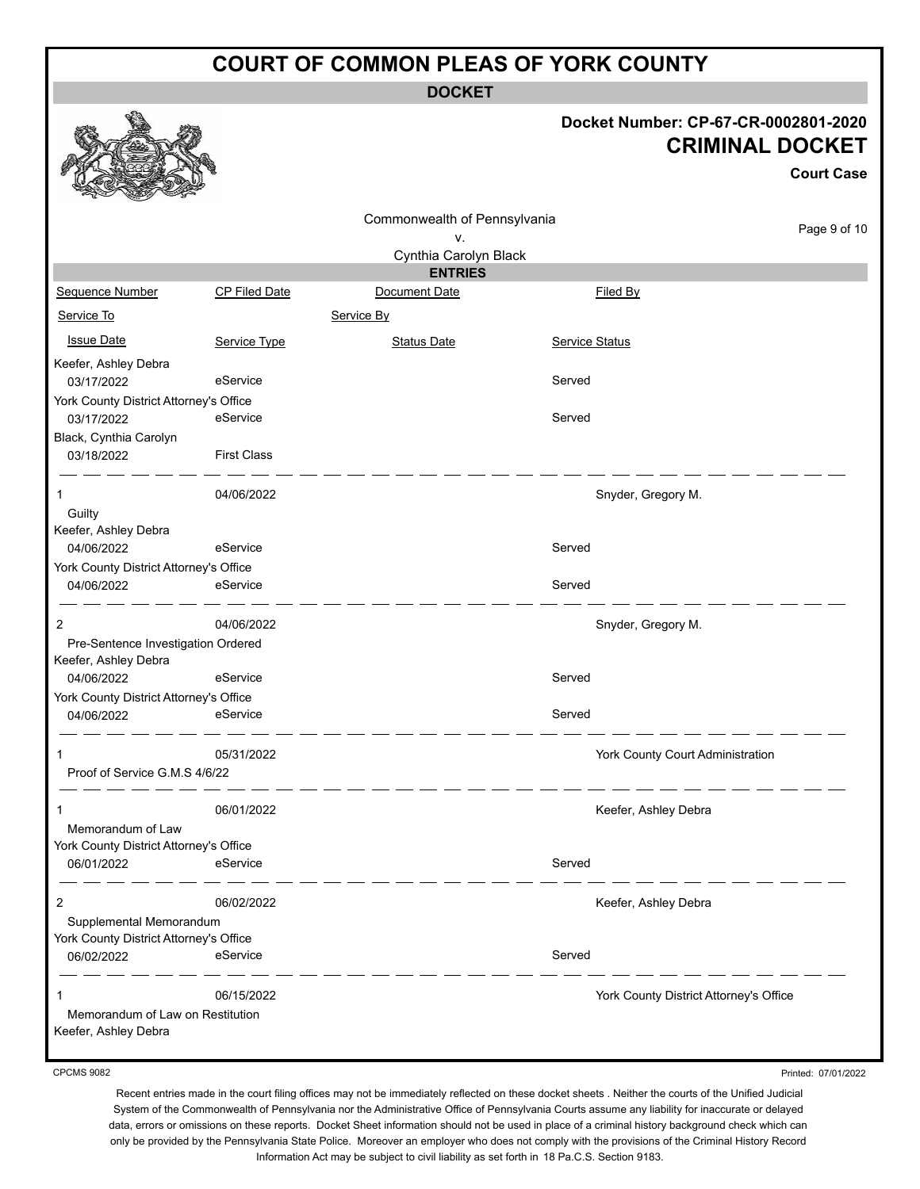**DOCKET**

### **Docket Number: CP-67-CR-0002801-2020 CRIMINAL DOCKET**

|                                                            |                      |                              |                       | <b>CRIMINAL DOCKET</b>                 | <b>Court Case</b> |
|------------------------------------------------------------|----------------------|------------------------------|-----------------------|----------------------------------------|-------------------|
|                                                            |                      | Commonwealth of Pennsylvania |                       |                                        |                   |
|                                                            |                      | v.                           |                       |                                        | Page 9 of 10      |
|                                                            |                      | Cynthia Carolyn Black        |                       |                                        |                   |
|                                                            |                      | <b>ENTRIES</b>               |                       |                                        |                   |
| Sequence Number                                            | <b>CP Filed Date</b> | Document Date                |                       | Filed By                               |                   |
| Service To                                                 |                      | Service By                   |                       |                                        |                   |
| <b>Issue Date</b>                                          | Service Type         | <b>Status Date</b>           | <b>Service Status</b> |                                        |                   |
| Keefer, Ashley Debra<br>03/17/2022                         | eService             |                              | Served                |                                        |                   |
| York County District Attorney's Office                     |                      |                              |                       |                                        |                   |
| 03/17/2022                                                 | eService             |                              | Served                |                                        |                   |
| Black, Cynthia Carolyn<br>03/18/2022                       | <b>First Class</b>   |                              |                       |                                        |                   |
| 1                                                          | 04/06/2022           |                              |                       | Snyder, Gregory M.                     |                   |
| Guilty                                                     |                      |                              |                       |                                        |                   |
| Keefer, Ashley Debra                                       |                      |                              |                       |                                        |                   |
| 04/06/2022                                                 | eService             |                              | Served                |                                        |                   |
| York County District Attorney's Office<br>04/06/2022       | eService             |                              | Served                |                                        |                   |
| 2                                                          | 04/06/2022           |                              |                       | Snyder, Gregory M.                     |                   |
| Pre-Sentence Investigation Ordered<br>Keefer, Ashley Debra |                      |                              |                       |                                        |                   |
| 04/06/2022                                                 | eService             |                              | Served                |                                        |                   |
| York County District Attorney's Office                     |                      |                              |                       |                                        |                   |
| 04/06/2022                                                 | eService             |                              | Served                |                                        |                   |
| 1                                                          | 05/31/2022           |                              |                       | York County Court Administration       |                   |
| Proof of Service G.M.S 4/6/22                              |                      |                              |                       |                                        |                   |
|                                                            | 06/01/2022           |                              |                       | Keefer, Ashley Debra                   |                   |
| Memorandum of Law                                          |                      |                              |                       |                                        |                   |
| York County District Attorney's Office<br>06/01/2022       | eService             |                              | Served                |                                        |                   |
|                                                            |                      |                              |                       |                                        |                   |
| 2                                                          | 06/02/2022           |                              |                       | Keefer, Ashley Debra                   |                   |
| Supplemental Memorandum                                    |                      |                              |                       |                                        |                   |
| York County District Attorney's Office                     |                      |                              |                       |                                        |                   |
| 06/02/2022                                                 | eService             |                              | Served                |                                        |                   |
| 1                                                          | 06/15/2022           |                              |                       | York County District Attorney's Office |                   |
| Memorandum of Law on Restitution<br>Keefer, Ashley Debra   |                      |                              |                       |                                        |                   |

CPCMS 9082

**a A** a

Printed: 07/01/2022